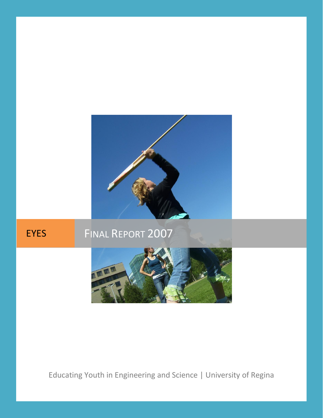

# EYES FINAL REPORT 2007



## Educating Youth in Engineering and Science | University of Regina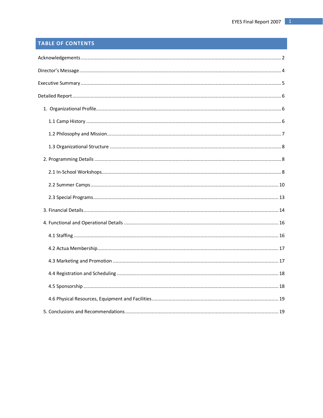## TABLE OF CONTENTS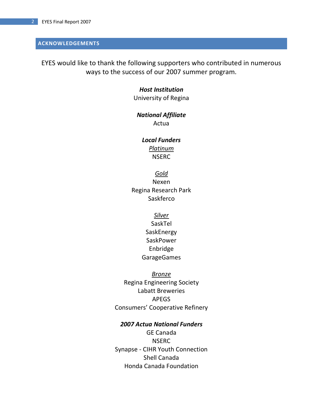## <span id="page-2-0"></span>**ACKNOWLEDGEMENTS**

EYES would like to thank the following supporters who contributed in numerous ways to the success of our 2007 summer program.

## *Host Institution*

University of Regina

## *National Affiliate*

Actua

## *Local Funders Platinum*

**NSERC** 

## *Gold*

Nexen Regina Research Park Saskferco

## *Silver*

SaskTel **SaskEnergy** SaskPower Enbridge GarageGames

## *Bronze*

Regina Engineering Society Labatt Breweries APEGS Consumers' Cooperative Refinery

## *2007 Actua National Funders*

GE Canada NSERC Synapse - CIHR Youth Connection Shell Canada Honda Canada Foundation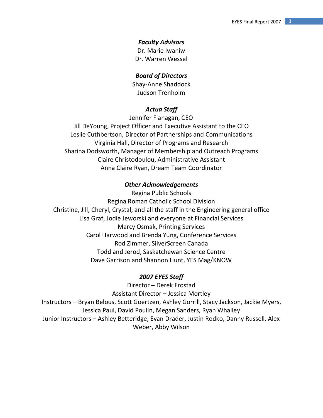## *Faculty Advisors*

Dr. Marie Iwaniw Dr. Warren Wessel

## *Board of Directors*

Shay-Anne Shaddock Judson Trenholm

## *Actua Staff*

Jennifer Flanagan, CEO

Jill DeYoung, Project Officer and Executive Assistant to the CEO Leslie Cuthbertson, Director of Partnerships and Communications Virginia Hall, Director of Programs and Research Sharina Dodsworth, Manager of Membership and Outreach Programs Claire Christodoulou, Administrative Assistant Anna Claire Ryan, Dream Team Coordinator

## *Other Acknowledgements*

Regina Public Schools Regina Roman Catholic School Division Christine, Jill, Cheryl, Crystal, and all the staff in the Engineering general office Lisa Graf, Jodie Jeworski and everyone at Financial Services Marcy Osmak, Printing Services Carol Harwood and Brenda Yung, Conference Services Rod Zimmer, SilverScreen Canada Todd and Jerod, Saskatchewan Science Centre Dave Garrison and Shannon Hunt, YES Mag/KNOW

## *2007 EYES Staff*

Director – Derek Frostad Assistant Director – Jessica Mortley Instructors – Bryan Belous, Scott Goertzen, Ashley Gorrill, Stacy Jackson, Jackie Myers, Jessica Paul, David Poulin, Megan Sanders, Ryan Whalley Junior Instructors – Ashley Betteridge, Evan Drader, Justin Rodko, Danny Russell, Alex Weber, Abby Wilson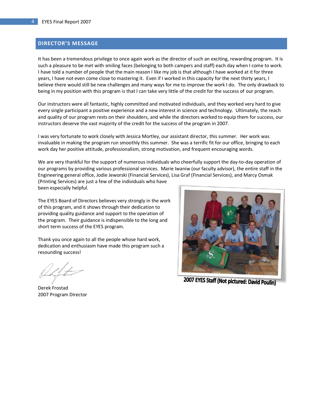## <span id="page-4-0"></span>**DIRECTOR'S MESSAGE**

It has been a tremendous privilege to once again work as the director of such an exciting, rewarding program. It is such a pleasure to be met with smiling faces (belonging to both campers and staff) each day when I come to work. I have told a number of people that the main reason I like my job is that although I have worked at it for three years, I have not even come close to mastering it. Even if I worked in this capacity for the next thirty years, I believe there would still be new challenges and many ways for me to improve the work I do. The only drawback to being in my position with this program is that I can take very little of the credit for the success of our program.

Our instructors were all fantastic, highly committed and motivated individuals, and they worked very hard to give every single participant a positive experience and a new interest in science and technology. Ultimately, the reach and quality of our program rests on their shoulders, and while the directors worked to equip them for success, our instructors deserve the vast majority of the credit for the success of the program in 2007.

I was very fortunate to work closely with Jessica Mortley, our assistant director, this summer. Her work was invaluable in making the program run smoothly this summer. She was a terrific fit for our office, bringing to each work day her positive attitude, professionalism, strong motivation, and frequent encouraging words.

We are very thankful for the support of numerous individuals who cheerfully support the day-to-day operation of our programs by providing various professional services. Marie Iwaniw (our faculty advisor), the entire staff in the Engineering general office, Jodie Jeworski (Financial Services), Lisa Graf (Financial Services), and Marcy Osmak (Printing Services) are just a few of the individuals who have

been especially helpful.

The EYES Board of Directors believes very strongly in the work of this program, and it shows through their dedication to providing quality guidance and support to the operation of the program. Their guidance is indispensible to the long and short term success of the EYES program.

Thank you once again to all the people whose hard work, dedication and enthusiasm have made this program such a resounding success!

Derek Frostad 2007 Program Director



2007 EYES Staff (Not pictured: David Poulin)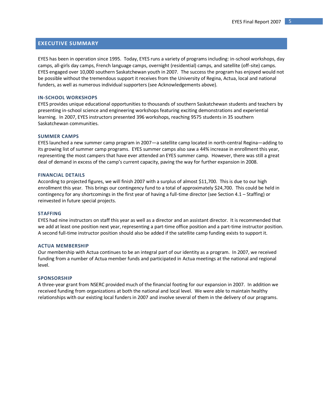## <span id="page-5-0"></span>**EXECUTIVE SUMMARY**

EYES has been in operation since 1995. Today, EYES runs a variety of programs including: in-school workshops, day camps, all-girls day camps, French language camps, overnight (residential) camps, and satellite (off-site) camps. EYES engaged over 10,000 southern Saskatchewan youth in 2007. The success the program has enjoyed would not be possible without the tremendous support it receives from the University of Regina, Actua, local and national funders, as well as numerous individual supporters (see Acknowledgements above).

#### **IN-SCHOOL WORKSHOPS**

EYES provides unique educational opportunities to thousands of southern Saskatchewan students and teachers by presenting in-school science and engineering workshops featuring exciting demonstrations and experiential learning. In 2007, EYES instructors presented 396 workshops, reaching 9575 students in 35 southern Saskatchewan communities.

#### **SUMMER CAMPS**

EYES launched a new summer camp program in 2007—a satellite camp located in north-central Regina—adding to its growing list of summer camp programs. EYES summer camps also saw a 44% increase in enrollment this year, representing the most campers that have ever attended an EYES summer camp. However, there was still a great deal of demand in excess of the camp's current capacity, paving the way for further expansion in 2008.

#### **FINANCIAL DETAILS**

According to projected figures, we will finish 2007 with a surplus of almost \$11,700. This is due to our high enrollment this year. This brings our contingency fund to a total of approximately \$24,700. This could be held in contingency for any shortcomings in the first year of having a full-time director (see Section 4.1 – Staffing) or reinvested in future special projects.

#### **STAFFING**

EYES had nine instructors on staff this year as well as a director and an assistant director. It is recommended that we add at least one position next year, representing a part-time office position and a part-time instructor position. A second full-time instructor position should also be added if the satellite camp funding exists to support it.

#### **ACTUA MEMBERSHIP**

Our membership with Actua continues to be an integral part of our identity as a program. In 2007, we received funding from a number of Actua member funds and participated in Actua meetings at the national and regional level.

#### **SPONSORSHIP**

A three-year grant from NSERC provided much of the financial footing for our expansion in 2007. In addition we received funding from organizations at both the national and local level. We were able to maintain healthy relationships with our existing local funders in 2007 and involve several of them in the delivery of our programs.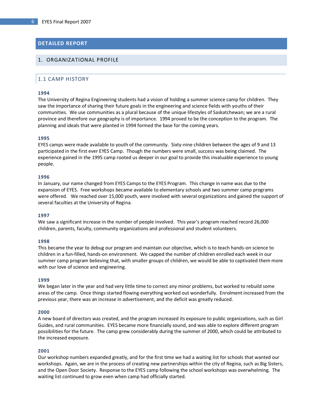## <span id="page-6-0"></span>**DETAILED REPORT**

## <span id="page-6-2"></span><span id="page-6-1"></span>1. ORGANIZATIONAL PROFILE

## 1.1 CAMP HISTORY

#### **1994**

The University of Regina Engineering students had a vision of holding a summer science camp for children. They saw the importance of sharing their future goals in the engineering and science fields with youths of their communities. We use communities as a plural because of the unique lifestyles of Saskatchewan; we are a rural province and therefore our geography is of importance. 1994 proved to be the conception to the program. The planning and ideals that were planted in 1994 formed the base for the coming years.

#### **1995**

EYES camps were made available to youth of the community. Sixty-nine children between the ages of 9 and 13 participated in the first ever EYES Camp. Though the numbers were small, success was being claimed. The experience gained in the 1995 camp rooted us deeper in our goal to provide this invaluable experience to young people.

#### **1996**

In January, our name changed from EYES Camps to the EYES Program. This change in name was due to the expansion of EYES. Free workshops became available to elementary schools and two summer camp programs were offered. We reached over 15,000 youth, were involved with several organizations and gained the support of several faculties at the University of Regina.

#### **1997**

We saw a significant increase in the number of people involved. This year's program reached record 26,000 children, parents, faculty, community organizations and professional and student volunteers.

#### **1998**

This became the year to debug our program and maintain our objective, which is to teach hands-on science to children in a fun-filled, hands-on environment. We capped the number of children enrolled each week in our summer camp program believing that, with smaller groups of children, we would be able to captivated them more with our love of science and engineering.

#### **1999**

We began later in the year and had very little time to correct any minor problems, but worked to rebuild some areas of the camp. Once things started flowing everything worked out wonderfully. Enrolment increased from the previous year, there was an increase in advertisement, and the deficit was greatly reduced.

#### **2000**

A new board of directors was created, and the program increased its exposure to public organizations, such as Girl Guides, and rural communities. EYES became more financially sound, and was able to explore different program possibilities for the future. The camp grew considerably during the summer of 2000, which could be attributed to the increased exposure.

#### **2001**

Our workshop numbers expanded greatly, and for the first time we had a waiting list for schools that wanted our workshops. Again, we are in the process of creating new partnerships within the city of Regina, such as Big Sisters, and the Open Door Society. Response to the EYES camp following the school workshops was overwhelming. The waiting list continued to grow even when camp had officially started.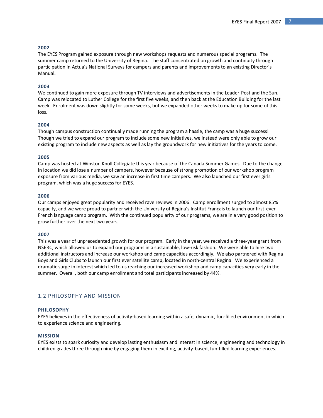#### **2002**

The EYES Program gained exposure through new workshops requests and numerous special programs. The summer camp returned to the University of Regina. The staff concentrated on growth and continuity through participation in Actua's National Surveys for campers and parents and improvements to an existing Director's Manual.

#### **2003**

We continued to gain more exposure through TV interviews and advertisements in the Leader-Post and the Sun. Camp was relocated to Luther College for the first five weeks, and then back at the Education Building for the last week. Enrolment was down slightly for some weeks, but we expanded other weeks to make up for some of this loss.

#### **2004**

Though campus construction continually made running the program a hassle, the camp was a huge success! Though we tried to expand our program to include some new initiatives, we instead were only able to grow our existing program to include new aspects as well as lay the groundwork for new initiatives for the years to come.

#### **2005**

Camp was hosted at Winston Knoll Collegiate this year because of the Canada Summer Games. Due to the change in location we did lose a number of campers, however because of strong promotion of our workshop program exposure from various media, we saw an increase in first time campers. We also launched our first ever girls program, which was a huge success for EYES.

#### **2006**

Our camps enjoyed great popularity and received rave reviews in 2006. Camp enrollment surged to almost 85% capacity, and we were proud to partner with the University of Regina's Institut Français to launch our first-ever French language camp program. With the continued popularity of our programs, we are in a very good position to grow further over the next two years.

#### **2007**

This was a year of unprecedented growth for our program. Early in the year, we received a three-year grant from NSERC, which allowed us to expand our programs in a sustainable, low-risk fashion. We were able to hire two additional instructors and increase our workshop and camp capacities accordingly. We also partnered with Regina Boys and Girls Clubs to launch our first ever satellite camp, located in north-central Regina. We experienced a dramatic surge in interest which led to us reaching our increased workshop and camp capacities very early in the summer. Overall, both our camp enrollment and total participants increased by 44%.

## <span id="page-7-0"></span>1.2 PHILOSOPHY AND MISSION

#### **PHILOSOPHY**

EYES believes in the effectiveness of activity-based learning within a safe, dynamic, fun-filled environment in which to experience science and engineering.

#### **MISSION**

EYES exists to spark curiosity and develop lasting enthusiasm and interest in science, engineering and technology in children grades three through nine by engaging them in exciting, activity-based, fun-filled learning experiences.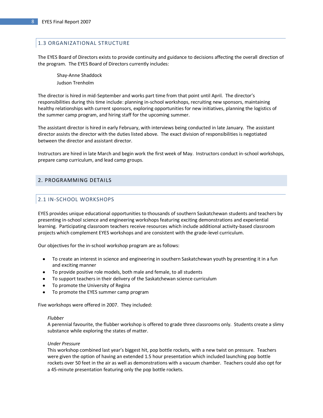## <span id="page-8-0"></span>1.3 ORGANIZATIONAL STRUCTURE

The EYES Board of Directors exists to provide continuity and guidance to decisions affecting the overall direction of the program. The EYES Board of Directors currently includes:

Shay-Anne Shaddock Judson Trenholm

The director is hired in mid-September and works part time from that point until April. The director's responsibilities during this time include: planning in-school workshops, recruiting new sponsors, maintaining healthy relationships with current sponsors, exploring opportunities for new initiatives, planning the logistics of the summer camp program, and hiring staff for the upcoming summer.

The assistant director is hired in early February, with interviews being conducted in late January. The assistant director assists the director with the duties listed above. The exact division of responsibilities is negotiated between the director and assistant director.

Instructors are hired in late March and begin work the first week of May. Instructors conduct in-school workshops, prepare camp curriculum, and lead camp groups.

## <span id="page-8-2"></span><span id="page-8-1"></span>2. PROGRAMMING DETAILS

## 2.1 IN-SCHOOL WORKSHOPS

EYES provides unique educational opportunities to thousands of southern Saskatchewan students and teachers by presenting in-school science and engineering workshops featuring exciting demonstrations and experiential learning. Participating classroom teachers receive resources which include additional activity-based classroom projects which complement EYES workshops and are consistent with the grade-level curriculum.

Our objectives for the in-school workshop program are as follows:

- To create an interest in science and engineering in southern Saskatchewan youth by presenting it in a fun and exciting manner
- To provide positive role models, both male and female, to all students
- To support teachers in their delivery of the Saskatchewan science curriculum
- To promote the University of Regina
- $\bullet$ To promote the EYES summer camp program

Five workshops were offered in 2007. They included:

#### *Flubber*

A perennial favourite, the flubber workshop is offered to grade three classrooms only. Students create a slimy substance while exploring the states of matter.

#### *Under Pressure*

This workshop combined last year's biggest hit, pop bottle rockets, with a new twist on pressure. Teachers were given the option of having an extended 1.5 hour presentation which included launching pop bottle rockets over 50 feet in the air as well as demonstrations with a vacuum chamber. Teachers could also opt for a 45-minute presentation featuring only the pop bottle rockets.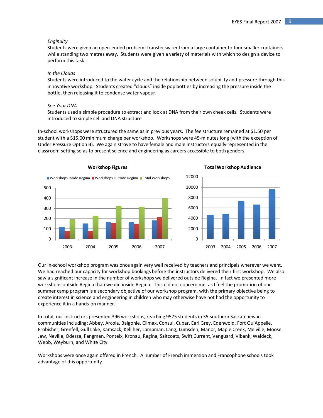#### *Enginuity*

Students were given an open-ended problem: transfer water from a large container to four smaller containers while standing two metres away. Students were given a variety of materials with which to design a device to perform this task.

#### *In the Clouds*

Students were introduced to the water cycle and the relationship between solubility and pressure through this innovative workshop. Students created "clouds" inside pop bottles by increasing the pressure inside the bottle, then releasing it to condense water vapour.

#### *See Your DNA*

Students used a simple procedure to extract and look at DNA from their own cheek cells. Students were introduced to simple cell and DNA structure.

In-school workshops were structured the same as in previous years. The fee structure remained at \$1.50 per student with a \$15.00 minimum charge per workshop. Workshops were 45-minutes long (with the exception of Under Pressure Option B). We again strove to have female and male instructors equally represented in the classroom setting so as to present science and engineering as careers accessible to both genders.





Our in-school workshop program was once again very well received by teachers and principals wherever we went. We had reached our capacity for workshop bookings before the instructors delivered their first workshop. We also saw a significant increase in the number of workshops we delivered outside Regina. In fact we presented more workshops outside Regina than we did inside Regina. This did not concern me, as I feel the promotion of our summer camp program is a secondary objective of our workshop program, with the primary objective being to create interest in science and engineering in children who may otherwise have not had the opportunity to experience it in a hands-on manner.

In total, our instructors presented 396 workshops, reaching 9575 students in 35 southern Saskatchewan communities including: Abbey, Arcola, Balgonie, Climax, Consul, Cupar, Earl Grey, Edenwold, Fort Qu'Appelle, Frobisher, Grenfell, Gull Lake, Kamsack, Kelliher, Lampman, Lang, Lumsden, Manor, Maple Creek, Melville, Moose Jaw, Neville, Odessa, Pangman, Ponteix, Kronau, Regina, Saltcoats, Swift Current, Vanguard, Vibank, Waldeck, Webb, Weyburn, and White City.

Workshops were once again offered in French. A number of French immersion and Francophone schools took advantage of this opportunity.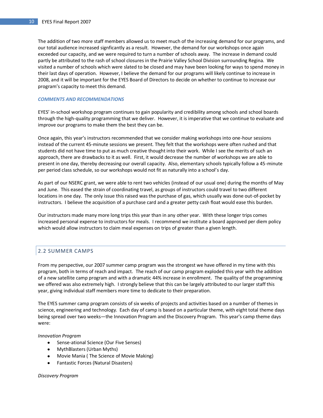The addition of two more staff members allowed us to meet much of the increasing demand for our programs, and our total audience increased signficantly as a result. However, the demand for our workshops once again exceeded our capacity, and we were required to turn a number of schools away. The increase in demand could partly be attributed to the rash of school closures in the Prairie Valley School Division surrounding Regina. We visited a number of schools which were slated to be closed and may have been looking for ways to spend money in their last days of operation. However, I believe the demand for our programs will likely continue to increase in 2008, and it will be important for the EYES Board of Directors to decide on whether to continue to increase our program's capacity to meet this demand.

#### *COMMENTS AND RECOMMENDATIONS*

EYES' in-school workshop program continues to gain popularity and credibility among schools and school boards through the high-quality programming that we deliver. However, it is imperative that we continue to evaluate and improve our programs to make them the best they can be.

Once again, this year's instructors recommended that we consider making workshops into one-hour sessions instead of the current 45-minute sessions we present. They felt that the workshops were often rushed and that students did not have time to put as much creative thought into their work. While I see the merits of such an approach, there are drawbacks to it as well. First, it would decrease the number of workshops we are able to present in one day, thereby decreasing our overall capacity. Also, elementary schools typically follow a 45-minute per period class schedule, so our workshops would not fit as naturally into a school's day.

As part of our NSERC grant, we were able to rent two vehicles (instead of our usual one) during the months of May and June. This eased the strain of coordinating travel, as groups of instructors could travel to two different locations in one day. The only issue this raised was the purchase of gas, which usually was done out-of-pocket by instructors. I believe the acquisition of a purchase card and a greater petty cash float would ease this burden.

Our instructors made many more long trips this year than in any other year. With these longer trips comes increased personal expense to instructors for meals. I recommend we institute a board approved per diem policy which would allow instructors to claim meal expenses on trips of greater than a given length.

## <span id="page-10-0"></span>2.2 SUMMER CAMPS

From my perspective, our 2007 summer camp program was the strongest we have offered in my time with this program, both in terms of reach and impact. The reach of our camp program exploded this year with the addition of a new satellite camp program and with a dramatic 44% increase in enrollment. The quality of the programming we offered was also extremely high. I strongly believe that this can be largely attributed to our larger staff this year, giving individual staff members more time to dedicate to their preparation.

The EYES summer camp program consists of six weeks of projects and activities based on a number of themes in science, engineering and technology. Each day of camp is based on a particular theme, with eight total theme days being spread over two weeks—the Innovation Program and the Discovery Program. This year's camp theme days were:

#### *Innovation Program*

- Sense-ational Science (Our Five Senses)
- MythBlasters (Urban Myths)
- Movie Mania ( The Science of Movie Making)
- Fantastic Forces (Natural Disasters)

## *Discovery Program*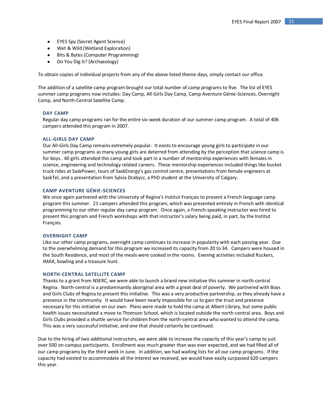- EYES Spy (Secret Agent Science)
- Wet & Wild (Wetland Exploration)
- Bits & Bytes (Computer Programming)
- Do You Dig It? (Archaeology)

To obtain copies of individual projects from any of the above listed theme days, simply contact our office.

The addition of a satellite camp program brought our total number of camp programs to five. The list of EYES summer camp programs now includes: Day Camp, All-Girls Day Camp, Camp Aventure Génie-Sciences, Overnight Camp, and North-Central Satellite Camp.

#### **DAY CAMP**

Regular day camp programs ran for the entire six-week duration of our summer camp program. A total of 406 campers attended this program in 2007.

#### **ALL-GIRLS DAY CAMP**

Our All-Girls Day Camp remains extremely popular. It exists to encourage young girls to participate in our summer camp programs as many young girls are deterred from attending by the perception that science camp is for boys. 40 girls attended this camp and took part in a number of mentorship experiences with females in science, engineering and technology related careers. These mentorship experiences included things like bucket truck rides at SaskPower, tours of SaskEnergy's gas control centre, presentations from female engineers at SaskTel, and a presentation from Sylvia Drabycz, a PhD student at the University of Calgary.

#### **CAMP AVENTURE GÉNIE-SCIENCES**

We once again partnered with the University of Regina's Institut Français to present a French language camp program this summer. 21 campers attended this program, which was presented entirely in French with identical programming to our other regular day camp program. Once again, a French-speaking instructor was hired to present this program and French workshops with that instructor's salary being paid, in part, by the Institut Français.

#### **OVERNIGHT CAMP**

Like our other camp programs, overnight camp continues to increase in popularity with each passing year. Due to the overwhelming demand for this program we increased its capacity from 20 to 34. Campers were housed in the South Residence, and most of the meals were cooked in the rooms. Evening activities included Ruckers, IMAX, bowling and a treasure hunt.

#### **NORTH-CENTRAL SATELLITE CAMP**

Thanks to a grant from NSERC, we were able to launch a brand new initiative this summer in north-central Regina. North-central is a predominantly aboriginal area with a great deal of poverty. We partnered with Boys and Girls Clubs of Regina to present this initiative. This was a very productive partnership, as they already have a presence in the community. It would have been nearly impossible for us to gain the trust and presence necessary for this initiative on our own. Plans were made to hold the camp at Albert Library, but some public health issues necessitated a move to Thomson School, which is located outside the north-central area. Boys and Girls Clubs provided a shuttle service for children from the north-central area who wanted to attend the camp. This was a very successful initiative, and one that should certainly be continued.

Due to the hiring of two additional instructors, we were able to increase the capacity of this year's camp to just over 500 on-campus participants. Enrollment was much greater than was ever expected, and we had filled all of our camp programs by the third week in June. In addition, we had waiting lists for all our camp programs. If the capacity had existed to accommodate all the interest we received, we would have easily surpassed 620 campers this year.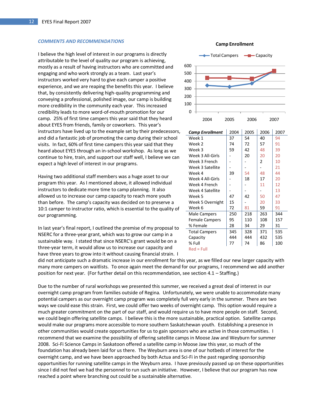#### *COMMENTS AND RECOMMENDATIONS*

I believe the high level of interest in our programs is directly attributable to the level of quality our program is achieving, mostly as a result of having instructors who are committed and engaging and who work strongly as a team. Last year's instructors worked very hard to give each camper a positive experience, and we are reaping the benefits this year. I believe that, by consistently delivering high-quality programming and conveying a professional, polished image, our camp is building more credibility in the community each year. This increased credibility leads to more word-of-mouth promotion for our camp. 25% of first time campers this year said that they heard about EYES from friends, family or coworkers. This year's instructors have lived up to the example set by their predecessors, and did a fantastic job of promoting the camp during their school visits. In fact, 60% of first time campers this year said that they heard about EYES through an in-school workshop. As long as we continue to hire, train, and support our staff well, I believe we can expect a high level of interest in our programs.

Having two additional staff members was a huge asset to our program this year. As I mentioned above, it allowed individual instructors to dedicate more time to camp planning. It also allowed us to increase our camp capacity to reach more youth than before. The camp's capacity was decided on to preserve a 10:1 camper to instructor ratio, which is essential to the quality of our programming.

In last year's final report, I outlined the premise of my proposal to NSERC for a three-year grant, which was to grow our camp in a sustainable way. I stated that since NSERC's grant would be on a three-year term, it would allow us to increase our capacity and have three years to grow into it without causing financial strain. I



| <b>Camp Enrollment</b> | 2004 | 2005 | 2006           | 2007 |
|------------------------|------|------|----------------|------|
| Week 1                 | 37   | 54   | 40             | 94   |
| Week 2                 | 74   | 72   | 57             | 91   |
| Week 3                 | 59   | 42   | 48             | 39   |
| Week 3 All-Girls       |      | 20   | 20             | 20   |
| Week 3 French          |      |      | $\overline{2}$ | 10   |
| Week 3 Satellite       |      |      |                | 21   |
| Week 4                 | 39   | 54   | 48             | 44   |
| Week 4 All-Girls       |      | 18   | 17             | 20   |
| Week 4 French          |      |      | 11             | 12   |
| Week 4 Satellite       |      |      |                | 13   |
| Week 5                 | 47   | 42   | 50             | 47   |
| Week 5 Overnight       | 15   |      | 20             | 33   |
| Week 6                 | 72   | 81   | 59             | 91   |
| Male Campers           | 250  | 218  | 263            | 344  |
| <b>Female Campers</b>  | 95   | 110  | 108            | 157  |
| % Female               | 28   | 34   | 29             | 31   |
| <b>Total Campers</b>   | 345  | 328  | 371            | 535  |
| Capacity               | 444  | 444  | 432            | 535  |
| % Full                 | 77   | 74   | 86             | 100  |
| $Red = Full$           |      |      |                |      |

did not anticipate such a dramatic increase in our enrollment for this year, as we filled our new larger capacity with many more campers on waitlists. To once again meet the demand for our programs, I recommend we add another position for next year. (For further detail on this recommendation, see section 4.1 – Staffing.)

Due to the number of rural workshops we presented this summer, we received a great deal of interest in our overnight camp program from families outside of Regina. Unfortunately, we were unable to accommodate many potential campers as our overnight camp program was completely full very early in the summer. There are two ways we could ease this strain. First, we could offer two weeks of overnight camp. This option would require a much greater commitment on the part of our staff, and would require us to have more people on staff. Second, we could begin offering satellite camps. I believe this is the more sustainable, practical option. Satellite camps would make our programs more accessible to more southern Saskatchewan youth. Establishing a presence in other communities would create opportunities for us to gain sponsors who are active in those communities. I recommend that we examine the possibility of offering satellite camps in Moose Jaw and Weyburn for summer 2008. Sci-Fi Science Camps in Saskatoon offered a satellite camp in Moose Jaw this year, so much of the foundation has already been laid for us there. The Weyburn area is one of our hotbeds of interest for the overnight camp, and we have been approached by both Actua and Sci-Fi in the past regarding sponsorship opportunities for running satellite camps in the Weyburn area. I have previously passed up on these opportunities since I did not feel we had the personnel to run such an initiative. However, I believe that our program has now reached a point where branching out could be a sustainable alternative.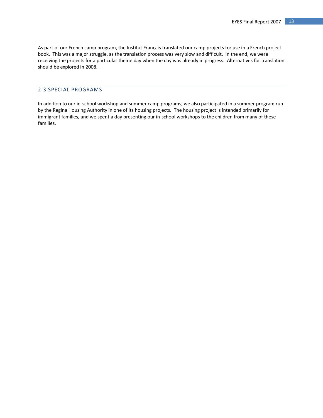As part of our French camp program, the Institut Français translated our camp projects for use in a French project book. This was a major struggle, as the translation process was very slow and difficult. In the end, we were receiving the projects for a particular theme day when the day was already in progress. Alternatives for translation should be explored in 2008.

## <span id="page-13-0"></span>2.3 SPECIAL PROGRAMS

In addition to our in-school workshop and summer camp programs, we also participated in a summer program run by the Regina Housing Authority in one of its housing projects. The housing project is intended primarily for immigrant families, and we spent a day presenting our in-school workshops to the children from many of these families.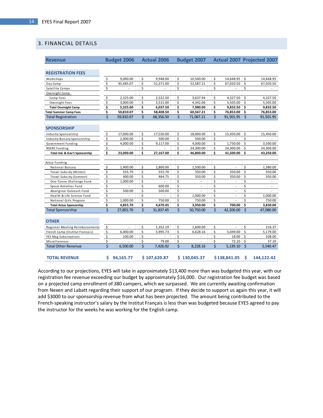## <span id="page-14-0"></span>3. FINANCIAL DETAILS

| <b>Revenue</b>                                       |                           | <b>Budget 2006</b> |          | <b>Actual 2006</b> |                         | <b>Budget 2007</b> |          |                |                    | <b>Actual 2007 Projected 2007</b> |
|------------------------------------------------------|---------------------------|--------------------|----------|--------------------|-------------------------|--------------------|----------|----------------|--------------------|-----------------------------------|
|                                                      |                           |                    |          |                    |                         |                    |          |                |                    |                                   |
| <b>REGISTRATION FEES</b>                             |                           |                    |          |                    |                         |                    |          |                |                    |                                   |
| Workshops                                            | $\boldsymbol{\mathsf{S}}$ | 9,000.00           | \$       | 9,948.00           | \$                      | 10,500.00          | \$       | 14,648.95      | \$                 | 14,648.95                         |
| Day Camp                                             | \$                        | 45,485.07          | \$       | 52,371.00          | \$                      | 52,587.21          | \$       | 67,020.50      | \$                 | 67,020.50                         |
| Satellite Camps                                      | \$                        |                    | Ś        |                    | \$                      |                    | \$       |                | \$                 |                                   |
| Overnight Camp                                       |                           |                    |          |                    |                         |                    |          |                |                    |                                   |
| Camp Fees                                            | \$                        | 2,325.00           | Ś        | 2,522.50           | Ś                       | 3,637.94           | \$       | 4,327.50       | \$                 | 4,327.50                          |
| Overnight Fees                                       | \$                        | 3,000.00           | \$       | 3,515.00           | \$                      | 4,342.06           | \$       | 5,505.00       | Ś                  | 5,505.00                          |
| <b>Total Overnight Camp</b>                          | \$                        | 5,325.00           | Ś        | 6,037.50           | \$                      | 7,980.00           | \$       | 9,832.50       | \$                 | 9,832.50                          |
| <b>Total Summer Camp Fees</b>                        | \$                        | 50,810.07          | \$       | 58,408.50          | \$                      | 60,567.21          | \$       | 76,853.00      | \$                 | 76,853.00                         |
| <b>Total Registration</b>                            | Ś                         | 59,810.07          | Ś        | 68,356.50          | Ś                       | 71,067.21          | Ś        | 91,501.95      | \$                 | 91,501.95                         |
| <b>SPONSORSHIP</b>                                   |                           |                    |          |                    |                         |                    |          |                |                    |                                   |
| Industry Sponsorship                                 | \$                        | 17,000.00          | \$       | 17,550.00          | \$                      | 18,000.00          | \$       | 15,450.00      | \$                 | 15,450.00                         |
| Industry Bursary Sponsorship                         | \$                        | 2.000.00           | \$       | 500.00             | \$                      | 500.00             | \$       |                | \$                 |                                   |
| Government Funding                                   | \$                        | 4,000.00           | \$       | 9,117.00           | \$                      | 4,000.00           | \$       | 1,750.00       | \$                 | 3,500.00                          |
| <b>NSERC Funding</b>                                 | \$                        |                    | \$       |                    | \$                      | 24,300.00          | \$       | 24,300.00      | \$                 | 24,300.00                         |
| Total Ind. & Gov't Sponsorship                       | \$                        | 23.000.00          | Ś        | 27.167.00          | \$                      | 46.800.00          | \$       | 41.500.00      | \$                 | 43,250.00                         |
|                                                      |                           |                    |          |                    |                         |                    |          |                |                    |                                   |
| Actua Funding                                        |                           |                    |          |                    |                         |                    |          |                |                    |                                   |
| National Bursary                                     | \$                        | 1,400.00           | \$       | 1,800.00           | \$                      | 1,500.00           | \$       |                | \$                 | 1,380.00                          |
| Travel Subsidy (Winter)                              | \$<br>\$                  | 555.70             | \$<br>Ś  | 555.70             | \$<br>\$                | 350.00             | \$<br>\$ | 350.00         | \$                 | 350.00                            |
| Travel Subsidy (Summer)                              |                           | 400.00             |          | 464.75             |                         | 350.00             |          | 350.00         | \$                 | 350.00<br>$\overline{a}$          |
| One-Tonne Challenge Fund                             | \$                        | 1,000.00           | \$<br>\$ |                    | \$<br>\$                |                    | \$<br>\$ |                | \$<br>\$           |                                   |
| Space Activities Fund                                | \$                        |                    | Ś        | 600.00             | \$                      |                    | \$       | $\overline{a}$ | \$                 | $\overline{\phantom{0}}$          |
| Aboriginal Outreach Fund                             | \$<br>\$                  | 500.00             | \$       | 500.00             | \$                      |                    | \$       |                | \$                 |                                   |
| Health & Life Science Fund<br>National Girls Program | \$                        | 1.000.00           | Ś        | 750.00             | Ś                       | 1,000.00<br>750.00 | Ś        |                | Ś                  | 1,000.00<br>750.00                |
| <b>Total Actua Sponsorship</b>                       | \$                        | 4,855.70           | \$       | 4,670.45           | \$                      | 3,950.00           | \$       | 700.00         | \$                 | 3,830.00                          |
| Total Sponsorship                                    | \$                        | 27.855.70          | Ś        | 31.837.45          | Ś.                      | 50.750.00          | Ś        | 42.200.00      | \$                 | 47.080.00                         |
|                                                      |                           |                    |          |                    |                         |                    |          |                |                    |                                   |
| <b>OTHER</b>                                         |                           |                    |          |                    |                         |                    |          |                |                    |                                   |
| Regional Meeting Reimbursements                      | \$                        |                    | \$       | 1,352.19           | \$                      | 1,600.00           | \$       | $\overline{a}$ | \$                 | 216.37                            |
| French Camp (Institut Francais)                      | \$                        | 6,400.00           | Ś        | 5,995.73           | \$                      | 6,628.16           | \$       | 5,049.00       | \$                 | 5,179.00                          |
| YES Mag Subscriptions                                | \$                        | 100.00             | \$       |                    | \$                      |                    | \$       | 18.00          | \$                 | 108.00                            |
| Miscellaneous                                        | \$                        |                    | \$       | 79.00              | \$                      |                    | \$       | 72.10          | \$                 | 37.10                             |
| <b>Total Other Revenue</b>                           | Ś                         | 6.500.00           | Ś        | 7.426.92           | $\overline{\mathsf{S}}$ | 8.228.16           | Ś        | 5.139.10       | $\dot{\mathsf{S}}$ | 5.540.47                          |
| <b>TOTAL REVENUE</b>                                 | Ś.                        | 94,165.77          |          | \$107,620.87       |                         | \$130,045.37       |          | \$138,841.05   | Ś                  | 144,122.42                        |

According to our projections, EYES will take in approximately \$13,400 more than was budgeted this year, with our registration fee revenue exceeding our budget by approximately \$16,000. Our registration fee budget was based on a projected camp enrollment of 380 campers, which we surpassed. We are currently awaiting confirmation from Nexen and Labatt regarding their support of our program. If they decide to support us again this year, it will add \$3000 to our sponsorship revenue from what has been projected. The amount being contributed to the French-speaking instructor's salary by the Institut Français is less than was budgeted because EYES agreed to pay the instructor for the weeks he was working for the English camp.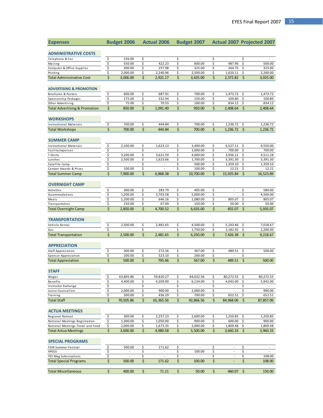| <b>Expenses</b>                          |                         | <b>Budget 2006</b> |          | <b>Actual 2006</b>       | <b>Budget 2007</b> |           |          |           | Actual 2007 Projected 2007 |           |
|------------------------------------------|-------------------------|--------------------|----------|--------------------------|--------------------|-----------|----------|-----------|----------------------------|-----------|
| <b>ADMINISTRATIVE COSTS</b>              |                         |                    |          |                          |                    |           |          |           |                            |           |
| Telephone & Fax                          | \$                      | 156.00             | \$       | $\bar{a}$                | \$                 |           | \$       |           | \$                         |           |
| Mailing                                  | \$                      | 550.00             | \$       | 422.23                   | \$                 | 600.00    | \$       | 487.96    | \$                         | 500.00    |
| Computer & Office Supplies               | \$                      | 300.00             | \$       | 257.98                   | \$                 | 325.00    | \$       | 264.75    | \$                         | 325.00    |
| Printing                                 | \$                      | 2,000.00           | \$       | 2,240.96                 | \$                 | 2,500.00  | \$       | 1,620.11  | \$                         | 2,200.00  |
| <b>Total Administrative Cost</b>         | \$                      | 3,006.00           | Ś        | 2,921.17                 | \$                 | 3,425.00  | \$       | 2,372.82  | \$                         | 3,025.00  |
| <b>ADVERTISING &amp; PROMOTION</b>       |                         |                    |          |                          |                    |           |          |           |                            |           |
| Brochures & Posters                      | \$                      | 600.00             | \$       | 687.91                   | \$                 | 700.00    | \$       | 1,473.72  | \$                         | 1,473.72  |
| Sponsorship Packages                     | \$                      | 175.00             | \$       | 332.94                   | \$                 | 150.00    | \$       | 100.80    | \$                         | 100.80    |
| Other Advertising                        | \$                      | 75.00              | \$       | 70.55                    | \$                 | 100.00    | \$       | 834.12    | \$                         | 834.12    |
| <b>Total Advertising &amp; Promotion</b> | \$                      | 850.00             | \$       | 1,091.40                 | \$                 | 950.00    | \$       | 2,408.64  | \$                         | 2,408.64  |
| <b>WORKSHOPS</b>                         |                         |                    |          |                          |                    |           |          |           |                            |           |
| <b>Instructional Materials</b>           | \$                      | 700.00             | \$       | 444.84                   | \$                 | 700.00    | \$       | 1,236.72  | \$                         | 1,236.72  |
| <b>Total Workshops</b>                   | \$                      | 700.00             | \$       | 444.84                   | \$                 | 700.00    | \$       | 1,236.72  | \$                         | 1,236.72  |
| <b>SUMMER CAMP</b>                       |                         |                    |          |                          |                    |           |          |           |                            |           |
| <b>Instructional Materials</b>           | \$                      | 2,100.00           | \$       | 1,623.13                 | \$                 | 3,400.00  | \$       | 6,527.11  | \$                         | 6,550.00  |
| <b>Facility Expenses</b>                 | \$                      |                    | \$       |                          | \$                 | 1,000.00  | \$       | 700.00    | \$                         | 700.00    |
| T-Shirts                                 | \$                      | 3,200.00           | \$       | 3,621.59                 | \$                 | 4,000.00  | \$       | 3,936.12  | \$                         | 4,511.28  |
| Lunches                                  | \$                      | 2,500.00           | \$       | 1,623.66                 | \$                 | 1.700.00  | \$       | 3,391.30  | \$                         | 3,391.30  |
| Satellite Camp                           | \$                      |                    | \$       | $\overline{\phantom{a}}$ | \$                 | 500.00    | \$       | 1,359.10  | \$                         | 1,359.10  |
| Camper Awards & Prizes                   | \$                      | 100.00             | \$       |                          | \$                 | 100.00    | \$       | 12.21     | \$                         | 12.21     |
| <b>Total Summer Camp</b>                 | \$                      | 7,900.00           | \$       | 6,868.38                 | \$                 | 10,700.00 | \$       | 15,925.84 | \$                         | 16,523.89 |
| <b>OVERNIGHT CAMP</b>                    |                         |                    |          |                          |                    |           |          |           |                            |           |
| Activities                               | \$                      | 300.00             | \$       | 283.79                   | \$                 | 405.00    | \$       | ÷,        | \$                         | 580.00    |
| Accommodations                           | \$                      | 1,200.00           | \$       | 3,703.58                 | \$                 | 5,000.00  | \$       |           | \$                         | 4,500.00  |
| Meals                                    | \$                      | 1,200.00           | \$       | 646.16                   | \$                 | 1,080.00  | \$       | 805.07    | \$                         | 805.07    |
| Transportation                           | \$<br>\$                | 150.00             | \$<br>\$ | 67.00                    | \$<br>\$           | 150.00    | \$<br>\$ | 50.00     | \$<br>\$                   | 50.00     |
| <b>Total Overnight Camp</b>              |                         | 2,850.00           |          | 4,700.52                 |                    | 6,635.00  |          | 855.07    |                            | 5,935.07  |
| <b>TRANSPORTATION</b>                    |                         |                    |          |                          |                    |           |          |           |                            |           |
| Vehicle Rental                           | \$                      | 2,500.00           | \$       | 2,481.65                 | \$                 | 4,500.00  | \$       | 5,243.46  | \$                         | 7,018.67  |
| Gas                                      | \$                      |                    | \$       |                          | \$                 | 1,750.00  | \$       | 2,182.92  | \$                         | 2,200.00  |
| <b>Total Transportation</b>              | \$                      | 2,500.00           | \$       | 2,481.65                 | \$                 | 6,250.00  | \$       | 7,426.38  | \$                         | 9,218.67  |
| <b>APPRECIATION</b>                      |                         |                    |          |                          |                    |           |          |           |                            |           |
| Staff Appreciation                       | \$                      | 300.00             | \$       | 272.56                   | \$                 | 367.00    | \$       | 489.51    | \$                         | 500.00    |
| Sponsor Appreciation                     | $\overline{\mathsf{S}}$ | 200.00             | \$       | 523.10                   | \$                 | 200.00    | \$       |           | \$                         |           |
| <b>Total Appreciation</b>                | \$                      | 500.00             | \$       | 795.66                   | \$                 | 567.00    | \$       | 489.51    | \$                         | 500.00    |
| <b>STAFF</b>                             |                         |                    |          |                          |                    |           |          |           |                            |           |
| Wages                                    | \$                      | 63,805.86          | \$       | 59,820.27                | \$                 | 84,032.56 | \$       | 80,272.55 | \$                         | 80,272.55 |
| <b>Benefits</b>                          | \$                      | 4,400.00           | \$       | 4,209.00                 | \$                 | 6,134.00  | \$       | 4,043.00  | \$                         | 5,942.00  |
| Instructor Exchange                      | \$                      |                    | \$       |                          | \$                 |           | \$       |           | \$                         |           |
| Junior Counsellors                       | \$                      | 2,000.00           | \$       | 900.00                   | \$                 | 2,000.00  | \$       |           | \$                         | 990.00    |
| Training                                 | \$                      | 300.00             | \$       | 436.29                   | \$                 | 700.00    | \$       | 652.51    | \$                         | 652.51    |
| <b>Total Staff</b>                       | \$                      | 70,505.86          | \$       | 65,365.56                | \$                 | 92,866.56 | \$       | 84,968.06 | \$                         | 87,857.06 |
| <b>ACTUA MEETINGS</b>                    |                         |                    |          |                          |                    |           |          |           |                            |           |
| Regional Retreat                         | \$                      | 300.00             | \$       | 2,257.23                 | \$                 | 2,600.00  | \$       | 1,250.85  | \$                         | 1,250.85  |
| National Meetings Registration           | \$                      | 1,300.00           | \$       | 1,050.00                 | \$                 | 900.00    | \$       | 600.00    | \$                         | 900.00    |
| National Meetings Travel and Food        | \$                      | 2,000.00           | \$       | 1,673.35                 | \$                 | 2,000.00  | \$       | 1,809.48  | \$                         | 1,809.48  |
| <b>Total Actua Meetings</b>              | \$                      | 3,600.00           | \$       | 4,980.58                 | \$                 | 5,500.00  | \$       | 3,660.33  | \$                         | 3,960.33  |
| <b>SPECIAL PROGRAMS</b>                  |                         |                    |          |                          |                    |           |          |           |                            |           |
| FSIN Summer Festival                     | \$                      | 500.00             | \$       | 171.62                   | \$                 |           | \$       | $\omega$  | \$                         |           |
| APEGS                                    | \$                      |                    | \$       |                          | \$                 | 100.00    | \$       | L,        | \$                         | $\Box$    |
| YES Mag Subscriptions                    | \$                      |                    | \$       |                          | \$                 |           | \$       | ÷,        | \$                         | 108.00    |
| <b>Total Special Programs</b>            | \$                      | 500.00             | \$       | 171.62                   | \$                 | 100.00    | \$       |           | \$                         | 108.00    |
| <b>Total Miscellaneous</b>               | \$                      | 400.00             | \$       | 71.21                    | \$                 | 50.00     | \$       | 460.07    | \$                         | 150.00    |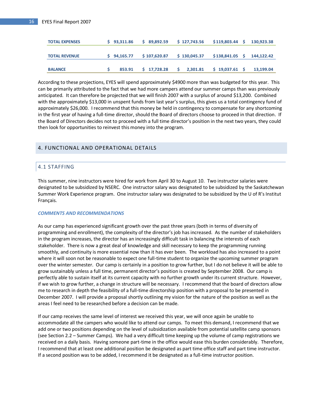| <b>TOTAL EXPENSES</b> | $S$ 93.311.86 | \$89,892.59   | \$127,743.56 | \$119,803.44    | S. | 130.923.38 |
|-----------------------|---------------|---------------|--------------|-----------------|----|------------|
|                       |               |               |              |                 |    |            |
| <b>TOTAL REVENUE</b>  | $S$ 94.165.77 | \$107.620.87  | \$130,045.37 | \$138,841.05    | s  | 144.122.42 |
|                       |               |               |              |                 |    |            |
| <b>BALANCE</b>        | 853.91        | $5$ 17.728.28 | 2.301.81     | $$19,037.61$ \$ |    | 13.199.04  |

According to these projections, EYES will spend approximately \$4900 more than was budgeted for this year. This can be primarily attributed to the fact that we had more campers attend our summer camps than was previously anticipated. It can therefore be projected that we will finish 2007 with a surplus of around \$13,200. Combined with the approximately \$13,000 in unspent funds from last year's surplus, this gives us a total contingency fund of approximately \$26,000. I recommend that this money be held in contingency to compensate for any shortcoming in the first year of having a full-time director, should the Board of directors choose to proceed in that direction. If the Board of Directors decides not to proceed with a full time director's position in the next two years, they could then look for opportunities to reinvest this money into the program.

#### <span id="page-16-1"></span><span id="page-16-0"></span>4. FUNCTIONAL AND OPERATIONAL DETAILS

## 4.1 STAFFING

This summer, nine instructors were hired for work from April 30 to August 10. Two instructor salaries were designated to be subsidized by NSERC. One instructor salary was designated to be subsidized by the Saskatchewan Summer Work Experience program. One instructor salary was designated to be subsidized by the U of R's Institut Français.

#### *COMMENTS AND RECOMMENDATIONS*

As our camp has experienced significant growth over the past three years (both in terms of diversity of programming and enrollment), the complexity of the director's job has increased. As the number of stakeholders in the program increases, the director has an increasingly difficult task in balancing the interests of each stakeholder. There is now a great deal of knowledge and skill necessary to keep the programming running smoothly, and continuity is more essential now than it has ever been. The workload has also increased to a point where it will soon not be reasonable to expect one full-time student to organize the upcoming summer program over the winter semester. Our camp is certainly in a position to grow further, but I do not believe it will be able to grow sustainably unless a full time, permanent director's position is created by September 2008. Our camp is perfectly able to sustain itself at its current capacity with no further growth under its current structure. However, if we wish to grow further, a change in structure will be necessary. I recommend that the board of directors allow me to research in depth the feasibility of a full-time directorship position with a proposal to be presented in December 2007. I will provide a proposal shortly outlining my vision for the nature of the position as well as the areas I feel need to be researched before a decision can be made.

If our camp receives the same level of interest we received this year, we will once again be unable to accommodate all the campers who would like to attend our camps. To meet this demand, I recommend that we add one or two positions depending on the level of subsidization available from potential satellite camp sponsors (see Section 2.2 – Summer Camps). We had a very difficult time keeping up the volume of camp registrations we received on a daily basis. Having someone part-time in the office would ease this burden considerably. Therefore, I recommend that at least one additional position be designated as part time office staff and part time instructor. If a second position was to be added, I recommend it be designated as a full-time instructor position.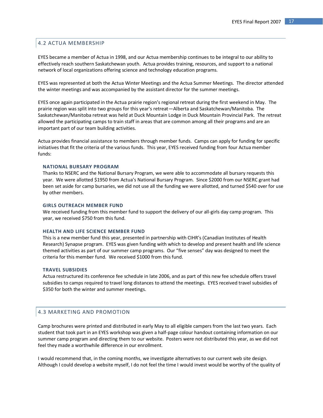## <span id="page-17-0"></span>4.2 ACTUA MEMBERSHIP

EYES became a member of Actua in 1998, and our Actua membership continues to be integral to our ability to effectively reach southern Saskatchewan youth. Actua provides training, resources, and support to a national network of local organizations offering science and technology education programs.

EYES was represented at both the Actua Winter Meetings and the Actua Summer Meetings. The director attended the winter meetings and was accompanied by the assistant director for the summer meetings.

EYES once again participated in the Actua prairie region's regional retreat during the first weekend in May. The prairie region was split into two groups for this year's retreat—Alberta and Saskatchewan/Manitoba. The Saskatchewan/Manitoba retreat was held at Duck Mountain Lodge in Duck Mountain Provincial Park. The retreat allowed the participating camps to train staff in areas that are common among all their programs and are an important part of our team building activities.

Actua provides financial assistance to members through member funds. Camps can apply for funding for specific initiatives that fit the criteria of the various funds. This year, EYES received funding from four Actua member funds:

#### **NATIONAL BURSARY PROGRAM**

Thanks to NSERC and the National Bursary Program, we were able to accommodate all bursary requests this year. We were allotted \$1950 from Actua's National Bursary Program. Since \$2000 from our NSERC grant had been set aside for camp bursaries, we did not use all the funding we were allotted, and turned \$540 over for use by other members.

#### **GIRLS OUTREACH MEMBER FUND**

We received funding from this member fund to support the delivery of our all-girls day camp program. This year, we received \$750 from this fund.

#### **HEALTH AND LIFE SCIENCE MEMBER FUND**

This is a new member fund this year, presented in partnership with CIHR's (Canadian Institutes of Health Research) Synapse program. EYES was given funding with which to develop and present health and life science themed activities as part of our summer camp programs. Our "five senses" day was designed to meet the criteria for this member fund. We received \$1000 from this fund.

#### **TRAVEL SUBSIDIES**

Actua restructured its conference fee schedule in late 2006, and as part of this new fee schedule offers travel subsidies to camps required to travel long distances to attend the meetings. EYES received travel subsidies of \$350 for both the winter and summer meetings.

## <span id="page-17-1"></span>4.3 MARKETING AND PROMOTION

Camp brochures were printed and distributed in early May to all eligible campers from the last two years. Each student that took part in an EYES workshop was given a half-page colour handout containing information on our summer camp program and directing them to our website. Posters were not distributed this year, as we did not feel they made a worthwhile difference in our enrollment.

I would recommend that, in the coming months, we investigate alternatives to our current web site design. Although I could develop a website myself, I do not feel the time I would invest would be worthy of the quality of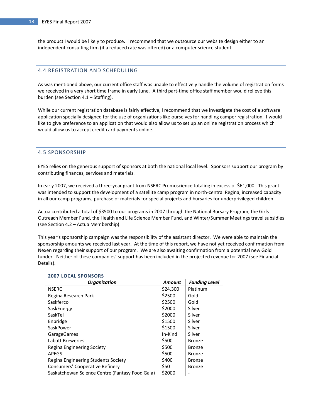the product I would be likely to produce. I recommend that we outsource our website design either to an independent consulting firm (if a reduced rate was offered) or a computer science student.

## <span id="page-18-0"></span>4.4 REGISTRATION AND SCHEDULING

As was mentioned above, our current office staff was unable to effectively handle the volume of registration forms we received in a very short time frame in early June. A third part-time office staff member would relieve this burden (see Section 4.1 – Staffing).

While our current registration database is fairly effective, I recommend that we investigate the cost of a software application specially designed for the use of organizations like ourselves for handling camper registration. I would like to give preference to an application that would also allow us to set up an online registration process which would allow us to accept credit card payments online.

## <span id="page-18-1"></span>4.5 SPONSORSHIP

EYES relies on the generous support of sponsors at both the national local level. Sponsors support our program by contributing finances, services and materials.

In early 2007, we received a three-year grant from NSERC Promoscience totaling in excess of \$61,000. This grant was intended to support the development of a satellite camp program in north-central Regina, increased capacity in all our camp programs, purchase of materials for special projects and bursaries for underprivileged children.

Actua contributed a total of \$3500 to our programs in 2007 through the National Bursary Program, the Girls Outreach Member Fund, the Health and Life Science Member Fund, and Winter/Summer Meetings travel subsidies (see Section 4.2 – Actua Membership).

This year's sponsorship campaign was the responsibility of the assistant director. We were able to maintain the sponsorship amounts we received last year. At the time of this report, we have not yet received confirmation from Nexen regarding their support of our program. We are also awaiting confirmation from a potential new Gold funder. Neither of these companies' support has been included in the projected revenue for 2007 (see Financial Details).

| <b>Organization</b>                             | <b>Amount</b> | <b>Funding Level</b> |
|-------------------------------------------------|---------------|----------------------|
| <b>NSERC</b>                                    | \$24,300      | Platinum             |
| Regina Research Park                            | \$2500        | Gold                 |
| Saskferco                                       | \$2500        | Gold                 |
| SaskEnergy                                      | \$2000        | Silver               |
| SaskTel                                         | \$2000        | Silver               |
| Enbridge                                        | \$1500        | Silver               |
| SaskPower                                       | \$1500        | Silver               |
| GarageGames                                     | In-Kind       | Silver               |
| Labatt Breweries                                | \$500         | Bronze               |
| Regina Engineering Society                      | \$500         | Bronze               |
| <b>APEGS</b>                                    | \$500         | Bronze               |
| Regina Engineering Students Society             | \$400         | Bronze               |
| Consumers' Cooperative Refinery                 | \$50          | Bronze               |
| Saskatchewan Science Centre (Fantasy Food Gala) | \$2000        |                      |

#### **2007 LOCAL SPONSORS**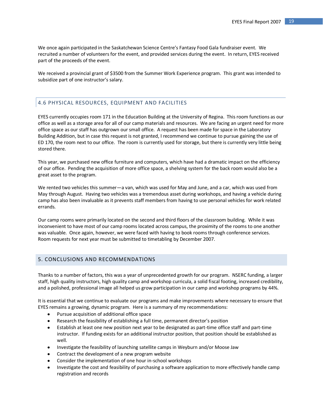We once again participated in the Saskatchewan Science Centre's Fantasy Food Gala fundraiser event. We recruited a number of volunteers for the event, and provided services during the event. In return, EYES received part of the proceeds of the event.

We received a provincial grant of \$3500 from the Summer Work Experience program. This grant was intended to subsidize part of one instructor's salary.

## <span id="page-19-0"></span>4.6 PHYSICAL RESOURCES, EQUIPMENT AND FACILITIES

EYES currently occupies room 171 in the Education Building at the University of Regina. This room functions as our office as well as a storage area for all of our camp materials and resources. We are facing an urgent need for more office space as our staff has outgrown our small office. A request has been made for space in the Laboratory Building Addition, but in case this request is not granted, I recommend we continue to pursue gaining the use of ED 170, the room next to our office. The room is currently used for storage, but there is currently very little being stored there.

This year, we purchased new office furniture and computers, which have had a dramatic impact on the efficiency of our office. Pending the acquisition of more office space, a shelving system for the back room would also be a great asset to the program.

We rented two vehicles this summer—a van, which was used for May and June, and a car, which was used from May through August. Having two vehicles was a tremendous asset during workshops, and having a vehicle during camp has also been invaluable as it prevents staff members from having to use personal vehicles for work related errands.

Our camp rooms were primarily located on the second and third floors of the classroom building. While it was inconvenient to have most of our camp rooms located across campus, the proximity of the rooms to one another was valuable. Once again, however, we were faced with having to book rooms through conference services. Room requests for next year must be submitted to timetabling by December 2007.

## <span id="page-19-1"></span>5. CONCLUSIONS AND RECOMMENDATIONS

Thanks to a number of factors, this was a year of unprecedented growth for our program. NSERC funding, a larger staff, high quality instructors, high quality camp and workshop curricula, a solid fiscal footing, increased credibility, and a polished, professional image all helped us grow participation in our camp and workshop programs by 44%.

It is essential that we continue to evaluate our programs and make improvements where necessary to ensure that EYES remains a growing, dynamic program. Here is a summary of my recommendations:

- Pursue acquisition of additional office space
- Research the feasibility of establishing a full time, permanent director's position
- Establish at least one new position next year to be designated as part-time office staff and part-time instructor. If funding exists for an additional instructor position, that position should be established as well.
- Investigate the feasibility of launching satellite camps in Weyburn and/or Moose Jaw
- Contract the development of a new program website
- Consider the implementation of one hour in-school workshops
- Investigate the cost and feasibility of purchasing a software application to more effectively handle camp registration and records